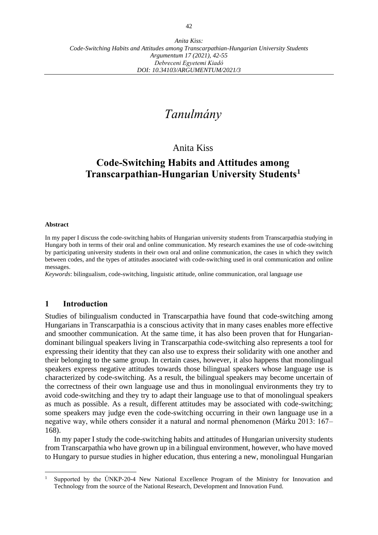# *Tanulmány*

## Anita Kiss

## **Code-Switching Habits and Attitudes among Transcarpathian-Hungarian University Students<sup>1</sup>**

#### **Abstract**

In my paper I discuss the code-switching habits of Hungarian university students from Transcarpathia studying in Hungary both in terms of their oral and online communication. My research examines the use of code-switching by participating university students in their own oral and online communication, the cases in which they switch between codes, and the types of attitudes associated with code-switching used in oral communication and online messages.

*Keywords*: bilingualism, code-switching, linguistic attitude, online communication, oral language use

## **1 Introduction**

Studies of bilingualism conducted in Transcarpathia have found that code-switching among Hungarians in Transcarpathia is a conscious activity that in many cases enables more effective and smoother communication. At the same time, it has also been proven that for Hungariandominant bilingual speakers living in Transcarpathia code-switching also represents a tool for expressing their identity that they can also use to express their solidarity with one another and their belonging to the same group. In certain cases, however, it also happens that monolingual speakers express negative attitudes towards those bilingual speakers whose language use is characterized by code-switching. As a result, the bilingual speakers may become uncertain of the correctness of their own language use and thus in monolingual environments they try to avoid code-switching and they try to adapt their language use to that of monolingual speakers as much as possible. As a result, different attitudes may be associated with code-switching; some speakers may judge even the code-switching occurring in their own language use in a negative way, while others consider it a natural and normal phenomenon (Márku 2013: 167– 168).

In my paper I study the code-switching habits and attitudes of Hungarian university students from Transcarpathia who have grown up in a bilingual environment, however, who have moved to Hungary to pursue studies in higher education, thus entering a new, monolingual Hungarian

<sup>1</sup> Supported by the ÚNKP-20-4 New National Excellence Program of the Ministry for Innovation and Technology from the source of the National Research, Development and Innovation Fund.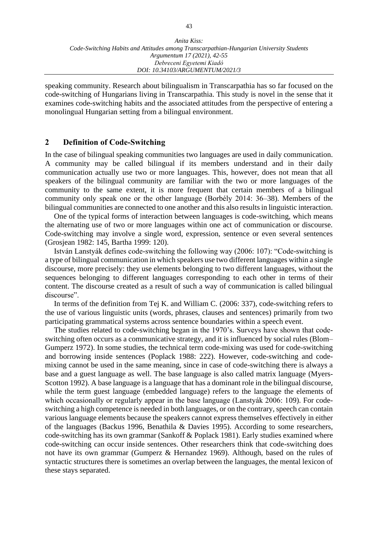speaking community. Research about bilingualism in Transcarpathia has so far focused on the code-switching of Hungarians living in Transcarpathia. This study is novel in the sense that it examines code-switching habits and the associated attitudes from the perspective of entering a monolingual Hungarian setting from a bilingual environment.

## **2 Definition of Code-Switching**

In the case of bilingual speaking communities two languages are used in daily communication. A community may be called bilingual if its members understand and in their daily communication actually use two or more languages. This, however, does not mean that all speakers of the bilingual community are familiar with the two or more languages of the community to the same extent, it is more frequent that certain members of a bilingual community only speak one or the other language (Borbély 2014: 36–38). Members of the bilingual communities are connected to one another and this also results in linguistic interaction.

One of the typical forms of interaction between languages is code-switching, which means the alternating use of two or more languages within one act of communication or discourse. Code-switching may involve a single word, expression, sentence or even several sentences (Grosjean 1982: 145, Bartha 1999: 120).

István Lanstyák defines code-switching the following way (2006: 107): "Code-switching is a type of bilingual communication in which speakers use two different languages within a single discourse, more precisely: they use elements belonging to two different languages, without the sequences belonging to different languages corresponding to each other in terms of their content. The discourse created as a result of such a way of communication is called bilingual discourse".

In terms of the definition from Tej K. and William C. (2006: 337), code-switching refers to the use of various linguistic units (words, phrases, clauses and sentences) primarily from two participating grammatical systems across sentence boundaries within a speech event.

The studies related to code-switching began in the 1970's. Surveys have shown that codeswitching often occurs as a communicative strategy, and it is influenced by social rules (Blom– Gumperz 1972). In some studies, the technical term code-mixing was used for code-switching and borrowing inside sentences (Poplack 1988: 222). However, code-switching and codemixing cannot be used in the same meaning, since in case of code-switching there is always a base and a guest language as well. The base language is also called matrix language (Myers-Scotton 1992). A base language is a language that has a dominant role in the bilingual discourse, while the term guest language (embedded language) refers to the language the elements of which occasionally or regularly appear in the base language (Lanstyák 2006: 109). For codeswitching a high competence is needed in both languages, or on the contrary, speech can contain various language elements because the speakers cannot express themselves effectively in either of the languages (Backus 1996, Benathila & Davies 1995). According to some researchers, code-switching has its own grammar (Sankoff & Poplack 1981). Early studies examined where code-switching can occur inside sentences. Other researchers think that code-switching does not have its own grammar (Gumperz & Hernandez 1969). Although, based on the rules of syntactic structures there is sometimes an overlap between the languages, the mental lexicon of these stays separated.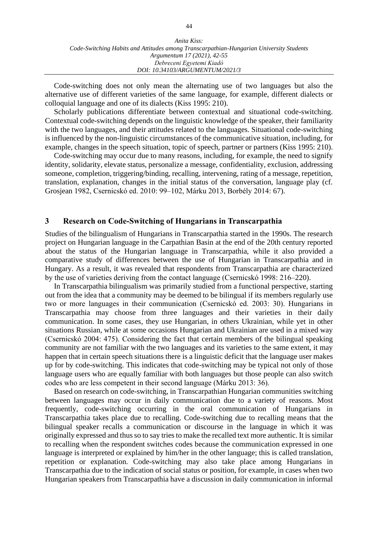| Anita Kiss:                                                                             |
|-----------------------------------------------------------------------------------------|
| Code-Switching Habits and Attitudes among Transcarpathian-Hungarian University Students |
| Argumentum 17 (2021), 42-55                                                             |
| Debreceni Egyetemi Kiadó                                                                |
| DOI: 10.34103/ARGUMENTUM/2021/3                                                         |

Code-switching does not only mean the alternating use of two languages but also the alternative use of different varieties of the same language, for example, different dialects or colloquial language and one of its dialects (Kiss 1995: 210).

Scholarly publications differentiate between contextual and situational code-switching. Contextual code-switching depends on the linguistic knowledge of the speaker, their familiarity with the two languages, and their attitudes related to the languages. Situational code-switching is influenced by the non-linguistic circumstances of the communicative situation, including, for example, changes in the speech situation, topic of speech, partner or partners (Kiss 1995: 210).

Code-switching may occur due to many reasons, including, for example, the need to signify identity, solidarity, elevate status, personalize a message, confidentiality, exclusion, addressing someone, completion, triggering/binding, recalling, intervening, rating of a message, repetition, translation, explanation, changes in the initial status of the conversation, language play (cf. Grosjean 1982, Csernicskó ed. 2010: 99–102, Márku 2013, Borbély 2014: 67).

## **3 Research on Code-Switching of Hungarians in Transcarpathia**

Studies of the bilingualism of Hungarians in Transcarpathia started in the 1990s. The research project on Hungarian language in the Carpathian Basin at the end of the 20th century reported about the status of the Hungarian language in Transcarpathia, while it also provided a comparative study of differences between the use of Hungarian in Transcarpathia and in Hungary. As a result, it was revealed that respondents from Transcarpathia are characterized by the use of varieties deriving from the contact language (Csernicskó 1998: 216–220).

In Transcarpathia bilingualism was primarily studied from a functional perspective, starting out from the idea that a community may be deemed to be bilingual if its members regularly use two or more languages in their communication (Csernicskó ed. 2003: 30). Hungarians in Transcarpathia may choose from three languages and their varieties in their daily communication. In some cases, they use Hungarian, in others Ukrainian, while yet in other situations Russian, while at some occasions Hungarian and Ukrainian are used in a mixed way (Csernicskó 2004: 475). Considering the fact that certain members of the bilingual speaking community are not familiar with the two languages and its varieties to the same extent, it may happen that in certain speech situations there is a linguistic deficit that the language user makes up for by code-switching. This indicates that code-switching may be typical not only of those language users who are equally familiar with both languages but those people can also switch codes who are less competent in their second language (Márku 2013: 36).

Based on research on code-switching, in Transcarpathian Hungarian communities switching between languages may occur in daily communication due to a variety of reasons. Most frequently, code-switching occurring in the oral communication of Hungarians in Transcarpathia takes place due to recalling. Code-switching due to recalling means that the bilingual speaker recalls a communication or discourse in the language in which it was originally expressed and thus so to say tries to make the recalled text more authentic. It is similar to recalling when the respondent switches codes because the communication expressed in one language is interpreted or explained by him/her in the other language; this is called translation, repetition or explanation. Code-switching may also take place among Hungarians in Transcarpathia due to the indication of social status or position, for example, in cases when two Hungarian speakers from Transcarpathia have a discussion in daily communication in informal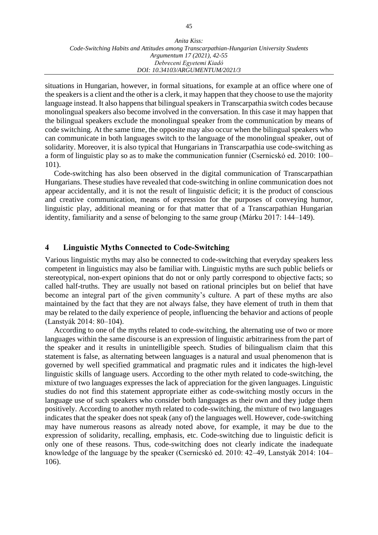situations in Hungarian, however, in formal situations, for example at an office where one of the speakers is a client and the other is a clerk, it may happen that they choose to use the majority language instead. It also happens that bilingual speakers in Transcarpathia switch codes because monolingual speakers also become involved in the conversation. In this case it may happen that the bilingual speakers exclude the monolingual speaker from the communication by means of code switching. At the same time, the opposite may also occur when the bilingual speakers who can communicate in both languages switch to the language of the monolingual speaker, out of solidarity. Moreover, it is also typical that Hungarians in Transcarpathia use code-switching as a form of linguistic play so as to make the communication funnier (Csernicskó ed. 2010: 100– 101).

Code-switching has also been observed in the digital communication of Transcarpathian Hungarians. These studies have revealed that code-switching in online communication does not appear accidentally, and it is not the result of linguistic deficit; it is the product of conscious and creative communication, means of expression for the purposes of conveying humor, linguistic play, additional meaning or for that matter that of a Transcarpathian Hungarian identity, familiarity and a sense of belonging to the same group (Márku 2017: 144–149).

## **4 Linguistic Myths Connected to Code-Switching**

Various linguistic myths may also be connected to code-switching that everyday speakers less competent in linguistics may also be familiar with. Linguistic myths are such public beliefs or stereotypical, non-expert opinions that do not or only partly correspond to objective facts; so called half-truths. They are usually not based on rational principles but on belief that have become an integral part of the given community's culture. A part of these myths are also maintained by the fact that they are not always false, they have element of truth in them that may be related to the daily experience of people, influencing the behavior and actions of people (Lanstyák 2014: 80–104).

According to one of the myths related to code-switching, the alternating use of two or more languages within the same discourse is an expression of linguistic arbitrariness from the part of the speaker and it results in unintelligible speech. Studies of bilingualism claim that this statement is false, as alternating between languages is a natural and usual phenomenon that is governed by well specified grammatical and pragmatic rules and it indicates the high-level linguistic skills of language users. According to the other myth related to code-switching, the mixture of two languages expresses the lack of appreciation for the given languages. Linguistic studies do not find this statement appropriate either as code-switching mostly occurs in the language use of such speakers who consider both languages as their own and they judge them positively. According to another myth related to code-switching, the mixture of two languages indicates that the speaker does not speak (any of) the languages well. However, code-switching may have numerous reasons as already noted above, for example, it may be due to the expression of solidarity, recalling, emphasis, etc. Code-switching due to linguistic deficit is only one of these reasons. Thus, code-switching does not clearly indicate the inadequate knowledge of the language by the speaker (Csernicskó ed. 2010: 42–49, Lanstyák 2014: 104– 106).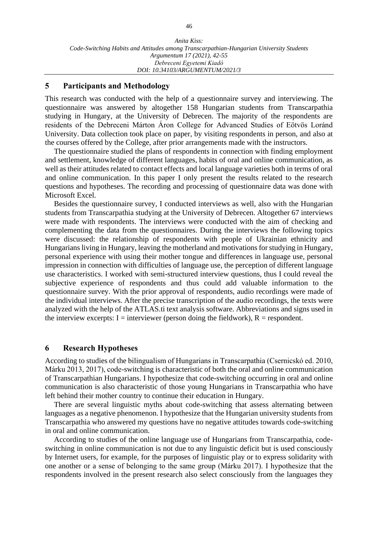### **5 Participants and Methodology**

This research was conducted with the help of a questionnaire survey and interviewing. The questionnaire was answered by altogether 158 Hungarian students from Transcarpathia studying in Hungary, at the University of Debrecen. The majority of the respondents are residents of the Debreceni Márton Áron College for Advanced Studies of Eötvös Loránd University. Data collection took place on paper, by visiting respondents in person, and also at the courses offered by the College, after prior arrangements made with the instructors.

The questionnaire studied the plans of respondents in connection with finding employment and settlement, knowledge of different languages, habits of oral and online communication, as well as their attitudes related to contact effects and local language varieties both in terms of oral and online communication. In this paper I only present the results related to the research questions and hypotheses. The recording and processing of questionnaire data was done with Microsoft Excel.

Besides the questionnaire survey, I conducted interviews as well, also with the Hungarian students from Transcarpathia studying at the University of Debrecen. Altogether 67 interviews were made with respondents. The interviews were conducted with the aim of checking and complementing the data from the questionnaires. During the interviews the following topics were discussed: the relationship of respondents with people of Ukrainian ethnicity and Hungarians living in Hungary, leaving the motherland and motivations for studying in Hungary, personal experience with using their mother tongue and differences in language use, personal impression in connection with difficulties of language use, the perception of different language use characteristics. I worked with semi-structured interview questions, thus I could reveal the subjective experience of respondents and thus could add valuable information to the questionnaire survey. With the prior approval of respondents, audio recordings were made of the individual interviews. After the precise transcription of the audio recordings, the texts were analyzed with the help of the ATLAS.ti text analysis software. Abbreviations and signs used in the interview excerpts:  $I =$  interviewer (person doing the fieldwork),  $R =$  respondent.

### **6 Research Hypotheses**

According to studies of the bilingualism of Hungarians in Transcarpathia (Csernicskó ed. 2010, Márku 2013, 2017), code-switching is characteristic of both the oral and online communication of Transcarpathian Hungarians. I hypothesize that code-switching occurring in oral and online communication is also characteristic of those young Hungarians in Transcarpathia who have left behind their mother country to continue their education in Hungary.

There are several linguistic myths about code-switching that assess alternating between languages as a negative phenomenon. I hypothesize that the Hungarian university students from Transcarpathia who answered my questions have no negative attitudes towards code-switching in oral and online communication.

According to studies of the online language use of Hungarians from Transcarpathia, codeswitching in online communication is not due to any linguistic deficit but is used consciously by Internet users, for example, for the purposes of linguistic play or to express solidarity with one another or a sense of belonging to the same group (Márku 2017). I hypothesize that the respondents involved in the present research also select consciously from the languages they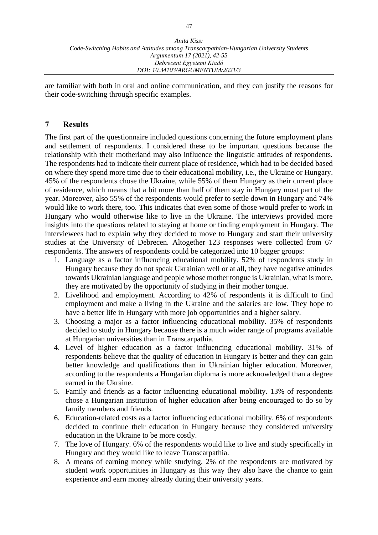are familiar with both in oral and online communication, and they can justify the reasons for their code-switching through specific examples.

## **7 Results**

The first part of the questionnaire included questions concerning the future employment plans and settlement of respondents. I considered these to be important questions because the relationship with their motherland may also influence the linguistic attitudes of respondents. The respondents had to indicate their current place of residence, which had to be decided based on where they spend more time due to their educational mobility, i.e., the Ukraine or Hungary. 45% of the respondents chose the Ukraine, while 55% of them Hungary as their current place of residence, which means that a bit more than half of them stay in Hungary most part of the year. Moreover, also 55% of the respondents would prefer to settle down in Hungary and 74% would like to work there, too. This indicates that even some of those would prefer to work in Hungary who would otherwise like to live in the Ukraine. The interviews provided more insights into the questions related to staying at home or finding employment in Hungary. The interviewees had to explain why they decided to move to Hungary and start their university studies at the University of Debrecen. Altogether 123 responses were collected from 67 respondents. The answers of respondents could be categorized into 10 bigger groups:

- 1. Language as a factor influencing educational mobility. 52% of respondents study in Hungary because they do not speak Ukrainian well or at all, they have negative attitudes towards Ukrainian language and people whose mother tongue is Ukrainian, what is more, they are motivated by the opportunity of studying in their mother tongue.
- 2. Livelihood and employment. According to 42% of respondents it is difficult to find employment and make a living in the Ukraine and the salaries are low. They hope to have a better life in Hungary with more job opportunities and a higher salary.
- 3. Choosing a major as a factor influencing educational mobility. 35% of respondents decided to study in Hungary because there is a much wider range of programs available at Hungarian universities than in Transcarpathia.
- 4. Level of higher education as a factor influencing educational mobility. 31% of respondents believe that the quality of education in Hungary is better and they can gain better knowledge and qualifications than in Ukrainian higher education. Moreover, according to the respondents a Hungarian diploma is more acknowledged than a degree earned in the Ukraine.
- 5. Family and friends as a factor influencing educational mobility. 13% of respondents chose a Hungarian institution of higher education after being encouraged to do so by family members and friends.
- 6. Education-related costs as a factor influencing educational mobility. 6% of respondents decided to continue their education in Hungary because they considered university education in the Ukraine to be more costly.
- 7. The love of Hungary. 6% of the respondents would like to live and study specifically in Hungary and they would like to leave Transcarpathia.
- 8. A means of earning money while studying. 2% of the respondents are motivated by student work opportunities in Hungary as this way they also have the chance to gain experience and earn money already during their university years.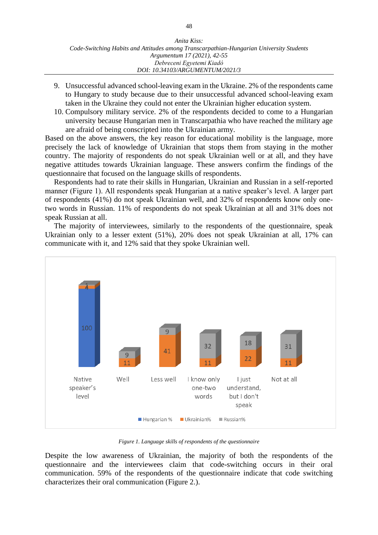- 9. Unsuccessful advanced school-leaving exam in the Ukraine. 2% of the respondents came to Hungary to study because due to their unsuccessful advanced school-leaving exam taken in the Ukraine they could not enter the Ukrainian higher education system.
- 10. Compulsory military service. 2% of the respondents decided to come to a Hungarian university because Hungarian men in Transcarpathia who have reached the military age are afraid of being conscripted into the Ukrainian army.

Based on the above answers, the key reason for educational mobility is the language, more precisely the lack of knowledge of Ukrainian that stops them from staying in the mother country. The majority of respondents do not speak Ukrainian well or at all, and they have negative attitudes towards Ukrainian language. These answers confirm the findings of the questionnaire that focused on the language skills of respondents.

Respondents had to rate their skills in Hungarian, Ukrainian and Russian in a self-reported manner (Figure 1). All respondents speak Hungarian at a native speaker's level. A larger part of respondents (41%) do not speak Ukrainian well, and 32% of respondents know only onetwo words in Russian. 11% of respondents do not speak Ukrainian at all and 31% does not speak Russian at all.

The majority of interviewees, similarly to the respondents of the questionnaire, speak Ukrainian only to a lesser extent (51%), 20% does not speak Ukrainian at all, 17% can communicate with it, and 12% said that they spoke Ukrainian well.



*Figure 1. Language skills of respondents of the questionnaire*

Despite the low awareness of Ukrainian, the majority of both the respondents of the questionnaire and the interviewees claim that code-switching occurs in their oral communication. 59% of the respondents of the questionnaire indicate that code switching characterizes their oral communication (Figure 2.).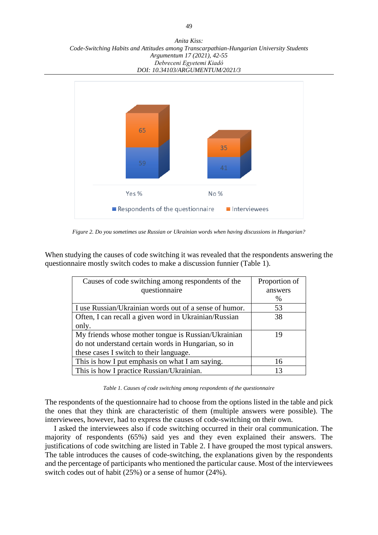*Anita Kiss: Code-Switching Habits and Attitudes among Transcarpathian-Hungarian University Students Argumentum 17 (2021), 42-55 Debreceni Egyetemi Kiadó DOI: 10.34103/ARGUMENTUM/2021/3*



*Figure 2. Do you sometimes use Russian or Ukrainian words when having discussions in Hungarian?*

When studying the causes of code switching it was revealed that the respondents answering the questionnaire mostly switch codes to make a discussion funnier (Table 1).

| Causes of code switching among respondents of the      | Proportion of |
|--------------------------------------------------------|---------------|
| questionnaire                                          | answers       |
|                                                        | $\%$          |
| I use Russian/Ukrainian words out of a sense of humor. | 53            |
| Often, I can recall a given word in Ukrainian/Russian  | 38            |
| only.                                                  |               |
| My friends whose mother tongue is Russian/Ukrainian    | 19            |
| do not understand certain words in Hungarian, so in    |               |
| these cases I switch to their language.                |               |
| This is how I put emphasis on what I am saying.        | 16            |
| This is how I practice Russian/Ukrainian.              | 13            |

*Table 1. Causes of code switching among respondents of the questionnaire*

The respondents of the questionnaire had to choose from the options listed in the table and pick the ones that they think are characteristic of them (multiple answers were possible). The interviewees, however, had to express the causes of code-switching on their own.

I asked the interviewees also if code switching occurred in their oral communication. The majority of respondents (65%) said yes and they even explained their answers. The justifications of code switching are listed in Table 2. I have grouped the most typical answers. The table introduces the causes of code-switching, the explanations given by the respondents and the percentage of participants who mentioned the particular cause. Most of the interviewees switch codes out of habit (25%) or a sense of humor (24%).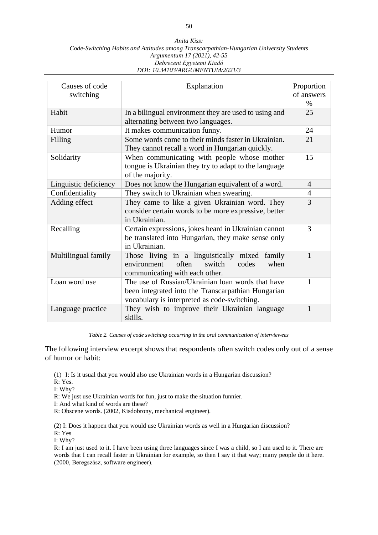#### *Anita Kiss: Code-Switching Habits and Attitudes among Transcarpathian-Hungarian University Students Argumentum 17 (2021), 42-55 Debreceni Egyetemi Kiadó DOI: 10.34103/ARGUMENTUM/2021/3*

| Causes of code<br>switching | Explanation                                                                                                                                             | Proportion<br>of answers<br>$\%$ |
|-----------------------------|---------------------------------------------------------------------------------------------------------------------------------------------------------|----------------------------------|
| Habit                       | In a bilingual environment they are used to using and<br>alternating between two languages.                                                             | 25                               |
| Humor                       | It makes communication funny.                                                                                                                           | 24                               |
| Filling                     | Some words come to their minds faster in Ukrainian.<br>They cannot recall a word in Hungarian quickly.                                                  | 21                               |
| Solidarity                  | When communicating with people whose mother<br>tongue is Ukrainian they try to adapt to the language<br>of the majority.                                | 15                               |
| Linguistic deficiency       | Does not know the Hungarian equivalent of a word.                                                                                                       | $\overline{4}$                   |
| Confidentiality             | They switch to Ukrainian when swearing.                                                                                                                 | $\overline{4}$                   |
| Adding effect               | They came to like a given Ukrainian word. They<br>consider certain words to be more expressive, better<br>in Ukrainian.                                 | 3                                |
| Recalling                   | Certain expressions, jokes heard in Ukrainian cannot<br>be translated into Hungarian, they make sense only<br>in Ukrainian.                             | 3                                |
| Multilingual family         | Those living in a linguistically mixed<br>family<br>often<br>environment<br>switch<br>codes<br>when<br>communicating with each other.                   | $\mathbf{1}$                     |
| Loan word use               | The use of Russian/Ukrainian loan words that have<br>been integrated into the Transcarpathian Hungarian<br>vocabulary is interpreted as code-switching. | 1                                |
| Language practice           | They wish to improve their Ukrainian language<br>skills.                                                                                                | $\mathbf{1}$                     |

*Table 2. Causes of code switching occurring in the oral communication of interviewees*

The following interview excerpt shows that respondents often switch codes only out of a sense of humor or habit:

(1) I: Is it usual that you would also use Ukrainian words in a Hungarian discussion?

R: Yes.

I: Why?

R: We just use Ukrainian words for fun, just to make the situation funnier.

I: And what kind of words are these?

R: Obscene words. (2002, Kisdobrony, mechanical engineer).

(2) I: Does it happen that you would use Ukrainian words as well in a Hungarian discussion? R: Yes

I: Why?

R: I am just used to it. I have been using three languages since I was a child, so I am used to it. There are words that I can recall faster in Ukrainian for example, so then I say it that way; many people do it here. (2000, Beregszász, software engineer).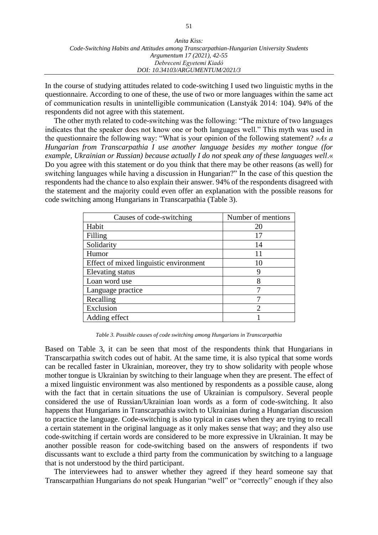| Anita Kiss:                                                                             |
|-----------------------------------------------------------------------------------------|
| Code-Switching Habits and Attitudes among Transcarpathian-Hungarian University Students |
| Argumentum 17 (2021), 42-55                                                             |
| Debreceni Egyetemi Kiadó                                                                |
| DOI: 10.34103/ARGUMENTUM/2021/3                                                         |

In the course of studying attitudes related to code-switching I used two linguistic myths in the questionnaire. According to one of these, the use of two or more languages within the same act of communication results in unintelligible communication (Lanstyák 2014: 104). 94% of the respondents did not agree with this statement.

The other myth related to code-switching was the following: "The mixture of two languages indicates that the speaker does not know one or both languages well." This myth was used in the questionnaire the following way: "What is your opinion of the following statement? *»As a Hungarian from Transcarpathia I use another language besides my mother tongue (for example, Ukrainian or Russian) because actually I do not speak any of these languages well*.« Do you agree with this statement or do you think that there may be other reasons (as well) for switching languages while having a discussion in Hungarian?" In the case of this question the respondents had the chance to also explain their answer. 94% of the respondents disagreed with the statement and the majority could even offer an explanation with the possible reasons for code switching among Hungarians in Transcarpathia (Table 3).

| Causes of code-switching               | Number of mentions          |
|----------------------------------------|-----------------------------|
| Habit                                  | 20                          |
| Filling                                | 17                          |
| Solidarity                             | 14                          |
| Humor                                  | 11                          |
| Effect of mixed linguistic environment | 10                          |
| Elevating status                       | 9                           |
| Loan word use                          | 8                           |
| Language practice                      | ┑                           |
| Recalling                              |                             |
| Exclusion                              | $\mathcal{D}_{\mathcal{A}}$ |
| Adding effect                          |                             |

*Table 3. Possible causes of code switching among Hungarians in Transcarpathia*

Based on Table 3, it can be seen that most of the respondents think that Hungarians in Transcarpathia switch codes out of habit. At the same time, it is also typical that some words can be recalled faster in Ukrainian, moreover, they try to show solidarity with people whose mother tongue is Ukrainian by switching to their language when they are present. The effect of a mixed linguistic environment was also mentioned by respondents as a possible cause, along with the fact that in certain situations the use of Ukrainian is compulsory. Several people considered the use of Russian/Ukrainian loan words as a form of code-switching. It also happens that Hungarians in Transcarpathia switch to Ukrainian during a Hungarian discussion to practice the language. Code-switching is also typical in cases when they are trying to recall a certain statement in the original language as it only makes sense that way; and they also use code-switching if certain words are considered to be more expressive in Ukrainian. It may be another possible reason for code-switching based on the answers of respondents if two discussants want to exclude a third party from the communication by switching to a language that is not understood by the third participant.

The interviewees had to answer whether they agreed if they heard someone say that Transcarpathian Hungarians do not speak Hungarian "well" or "correctly" enough if they also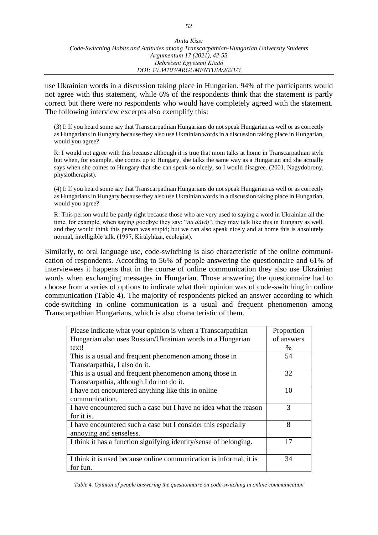use Ukrainian words in a discussion taking place in Hungarian. 94% of the participants would not agree with this statement, while 6% of the respondents think that the statement is partly correct but there were no respondents who would have completely agreed with the statement. The following interview excerpts also exemplify this:

(3) I: If you heard some say that Transcarpathian Hungarians do not speak Hungarian as well or as correctly as Hungarians in Hungary because they also use Ukrainian words in a discussion taking place in Hungarian, would you agree?

R: I would not agree with this because although it is true that mom talks at home in Transcarpathian style but when, for example, she comes up to Hungary, she talks the same way as a Hungarian and she actually says when she comes to Hungary that she can speak so nicely, so I would disagree. (2001, Nagydobrony, physiotherapist).

(4) I: If you heard some say that Transcarpathian Hungarians do not speak Hungarian as well or as correctly as Hungarians in Hungary because they also use Ukrainian words in a discussion taking place in Hungarian, would you agree?

R: This person would be partly right because those who are very used to saying a word in Ukrainian all the time, for example, when saying goodbye they say: "*na dáváj*", they may talk like this in Hungary as well, and they would think this person was stupid; but we can also speak nicely and at home this is absolutely normal, intelligible talk. (1997, Királyháza, ecologist).

Similarly, to oral language use, code-switching is also characteristic of the online communication of respondents. According to 56% of people answering the questionnaire and 61% of interviewees it happens that in the course of online communication they also use Ukrainian words when exchanging messages in Hungarian. Those answering the questionnaire had to choose from a series of options to indicate what their opinion was of code-switching in online communication (Table 4). The majority of respondents picked an answer according to which code-switching in online communication is a usual and frequent phenomenon among Transcarpathian Hungarians, which is also characteristic of them.

| Please indicate what your opinion is when a Transcarpathian        | Proportion |
|--------------------------------------------------------------------|------------|
| Hungarian also uses Russian/Ukrainian words in a Hungarian         | of answers |
| text!                                                              | $\%$       |
| This is a usual and frequent phenomenon among those in             | 54         |
| Transcarpathia, I also do it.                                      |            |
| This is a usual and frequent phenomenon among those in             | 32         |
| Transcarpathia, although I do not do it.                           |            |
| I have not encountered anything like this in online                | 10         |
| communication.                                                     |            |
| I have encountered such a case but I have no idea what the reason  | 3          |
| for it is.                                                         |            |
| I have encountered such a case but I consider this especially      | 8          |
| annoying and senseless.                                            |            |
| I think it has a function signifying identity/sense of belonging.  | 17         |
|                                                                    |            |
| I think it is used because online communication is informal, it is | 34         |
| for fun.                                                           |            |

*Table 4. Opinion of people answering the questionnaire on code-switching in online communication*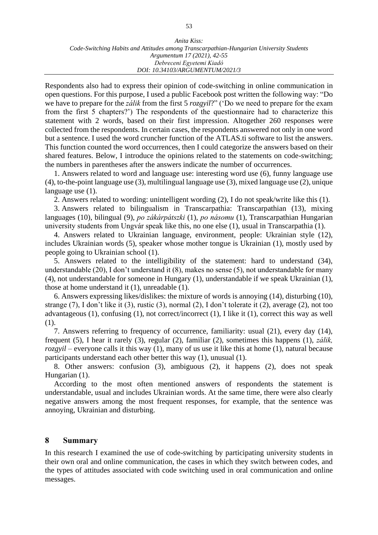Respondents also had to express their opinion of code-switching in online communication in open questions. For this purpose, I used a public Facebook post written the following way: "Do we have to prepare for the *zálik* from the first 5 *rozgyil*?" ('Do we need to prepare for the exam from the first 5 chapters?') The respondents of the questionnaire had to characterize this statement with 2 words, based on their first impression. Altogether 260 responses were collected from the respondents. In certain cases, the respondents answered not only in one word but a sentence. I used the word cruncher function of the ATLAS.ti software to list the answers. This function counted the word occurrences, then I could categorize the answers based on their shared features. Below, I introduce the opinions related to the statements on code-switching; the numbers in parentheses after the answers indicate the number of occurrences.

1. Answers related to word and language use: interesting word use (6), funny language use (4), to-the-point language use (3), multilingual language use (3), mixed language use (2), unique language use  $(1)$ .

2. Answers related to wording: unintelligent wording (2), I do not speak/write like this (1).

3. Answers related to bilingualism in Transcarpathia: Transcarpathian (13), mixing languages (10), bilingual (9), *po zákárpátszki* (1), *po násomu* (1), Transcarpathian Hungarian university students from Ungvár speak like this, no one else (1), usual in Transcarpathia (1).

4. Answers related to Ukrainian language, environment, people: Ukrainian style (12), includes Ukrainian words (5), speaker whose mother tongue is Ukrainian (1), mostly used by people going to Ukrainian school (1).

5. Answers related to the intelligibility of the statement: hard to understand (34), understandable (20), I don't understand it (8), makes no sense (5), not understandable for many (4), not understandable for someone in Hungary (1), understandable if we speak Ukrainian (1), those at home understand it (1), unreadable (1).

6. Answers expressing likes/dislikes: the mixture of words is annoying (14), disturbing (10), strange (7), I don't like it (3), rustic (3), normal (2), I don't tolerate it (2), average (2), not too advantageous (1), confusing (1), not correct/incorrect (1), I like it (1), correct this way as well (1).

7. Answers referring to frequency of occurrence, familiarity: usual (21), every day (14), frequent (5), I hear it rarely (3), regular (2), familiar (2), sometimes this happens (1), *zálik, rozgyil* – everyone calls it this way (1), many of us use it like this at home (1), natural because participants understand each other better this way (1), unusual (1).

8. Other answers: confusion (3), ambiguous (2), it happens (2), does not speak Hungarian (1).

According to the most often mentioned answers of respondents the statement is understandable, usual and includes Ukrainian words. At the same time, there were also clearly negative answers among the most frequent responses, for example, that the sentence was annoying, Ukrainian and disturbing.

#### **8 Summary**

In this research I examined the use of code-switching by participating university students in their own oral and online communication, the cases in which they switch between codes, and the types of attitudes associated with code switching used in oral communication and online messages.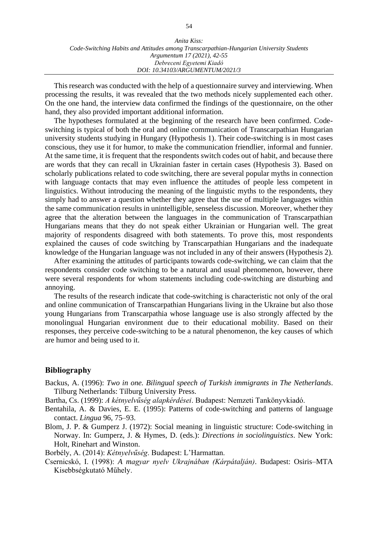| Anita Kiss:                                                                             |  |
|-----------------------------------------------------------------------------------------|--|
| Code-Switching Habits and Attitudes among Transcarpathian-Hungarian University Students |  |
| Argumentum 17 (2021), 42-55                                                             |  |
| Debreceni Egyetemi Kiadó                                                                |  |
| DOI: 10.34103/ARGUMENTUM/2021/3                                                         |  |

This research was conducted with the help of a questionnaire survey and interviewing. When processing the results, it was revealed that the two methods nicely supplemented each other. On the one hand, the interview data confirmed the findings of the questionnaire, on the other hand, they also provided important additional information.

The hypotheses formulated at the beginning of the research have been confirmed. Codeswitching is typical of both the oral and online communication of Transcarpathian Hungarian university students studying in Hungary (Hypothesis 1). Their code-switching is in most cases conscious, they use it for humor, to make the communication friendlier, informal and funnier. At the same time, it is frequent that the respondents switch codes out of habit, and because there are words that they can recall in Ukrainian faster in certain cases (Hypothesis 3). Based on scholarly publications related to code switching, there are several popular myths in connection with language contacts that may even influence the attitudes of people less competent in linguistics. Without introducing the meaning of the linguistic myths to the respondents, they simply had to answer a question whether they agree that the use of multiple languages within the same communication results in unintelligible, senseless discussion. Moreover, whether they agree that the alteration between the languages in the communication of Transcarpathian Hungarians means that they do not speak either Ukrainian or Hungarian well. The great majority of respondents disagreed with both statements. To prove this, most respondents explained the causes of code switching by Transcarpathian Hungarians and the inadequate knowledge of the Hungarian language was not included in any of their answers (Hypothesis 2).

After examining the attitudes of participants towards code-switching, we can claim that the respondents consider code switching to be a natural and usual phenomenon, however, there were several respondents for whom statements including code-switching are disturbing and annoying.

The results of the research indicate that code-switching is characteristic not only of the oral and online communication of Transcarpathian Hungarians living in the Ukraine but also those young Hungarians from Transcarpathia whose language use is also strongly affected by the monolingual Hungarian environment due to their educational mobility. Based on their responses, they perceive code-switching to be a natural phenomenon, the key causes of which are humor and being used to it.

#### **Bibliography**

- Backus, A. (1996): *Two in one. Bilingual speech of Turkish immigrants in The Netherlands*. Tilburg Netherlands: Tilburg University Press.
- Bartha, Cs. (1999): *A kétnyelvűség alapkérdései*. Budapest: Nemzeti Tankönyvkiadó.
- Bentahila, A. & Davies, E. E. (1995): Patterns of code-switching and patterns of language contact. *Lingua* 96, 75–93.
- Blom, J. P. & Gumperz J. (1972): Social meaning in linguistic structure: Code-switching in Norway. In: Gumperz, J. & Hymes, D. (eds.): *Directions in sociolinguistics*. New York: Holt, Rinehart and Winston.

Borbély, A. (2014): *Kétnyelvűség*. Budapest: L'Harmattan.

Csernicskó, I. (1998): *A magyar nyelv Ukrajnában (Kárpátalján)*. Budapest: Osiris–MTA Kisebbségkutató Műhely.